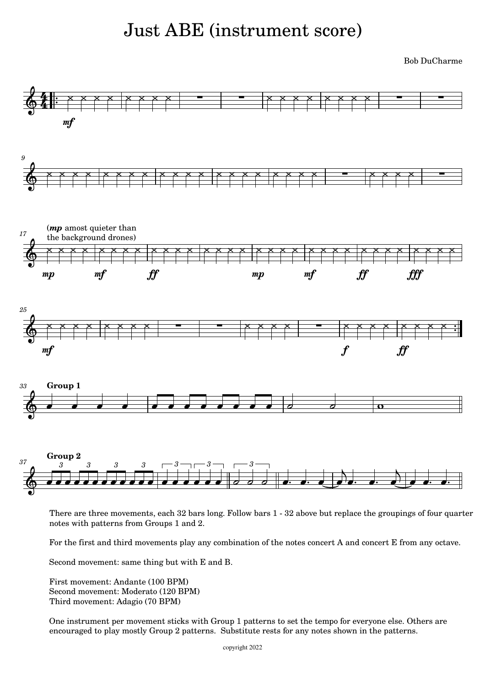# Just ABE (instrument score)

Bob DuCharme



There are three movements, each 32 bars long. Follow bars 1 - 32 above but replace the groupings of four quarter notes with patterns from Groups 1 and 2.

For the first and third movements play any combination of the notes concert A and concert E from any octave.

Second movement: same thing but with E and B.

First movement: Andante (100 BPM) Second movement: Moderato (120 BPM) Third movement: Adagio (70 BPM)

One instrument per movement sticks with Group 1 patterns to set the tempo for everyone else. Others are encouraged to play mostly Group 2 patterns. Substitute rests for any notes shown in the patterns.